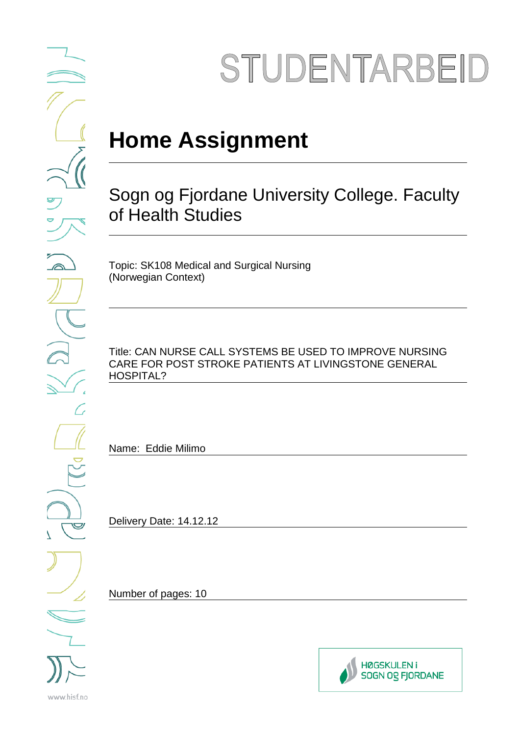# STUDENTARBEID

## **Home Assignment**

### Sogn og Fjordane University College. Faculty of Health Studies

Topic: SK108 Medical and Surgical Nursing (Norwegian Context)

Title: CAN NURSE CALL SYSTEMS BE USED TO IMPROVE NURSING CARE FOR POST STROKE PATIENTS AT LIVINGSTONE GENERAL HOSPITAL?

Name: Eddie Milimo

Delivery Date: 14.12.12

Number of pages: 10



 $\bigtriangledown$ www.hisf.no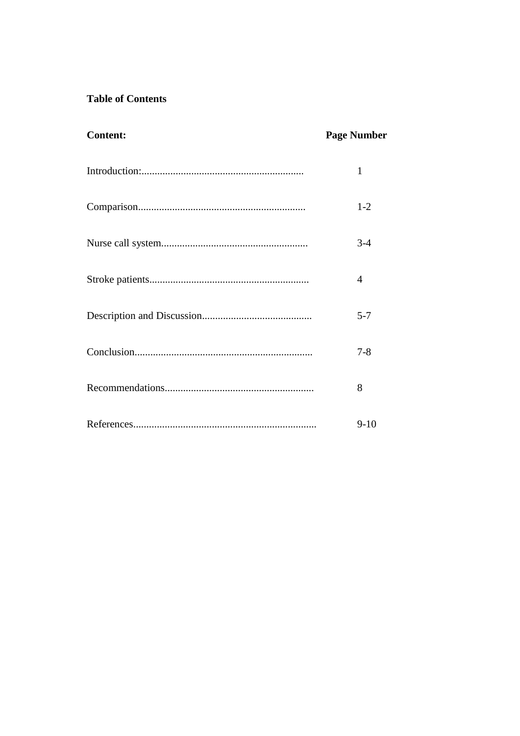#### **Table of Contents**

| <b>Content:</b> | <b>Page Number</b> |
|-----------------|--------------------|
|                 | $\mathbf{1}$       |
|                 | $1 - 2$            |
|                 | $3 - 4$            |
|                 | 4                  |
|                 | $5 - 7$            |
|                 | $7 - 8$            |
|                 | 8                  |
|                 | $9-10$             |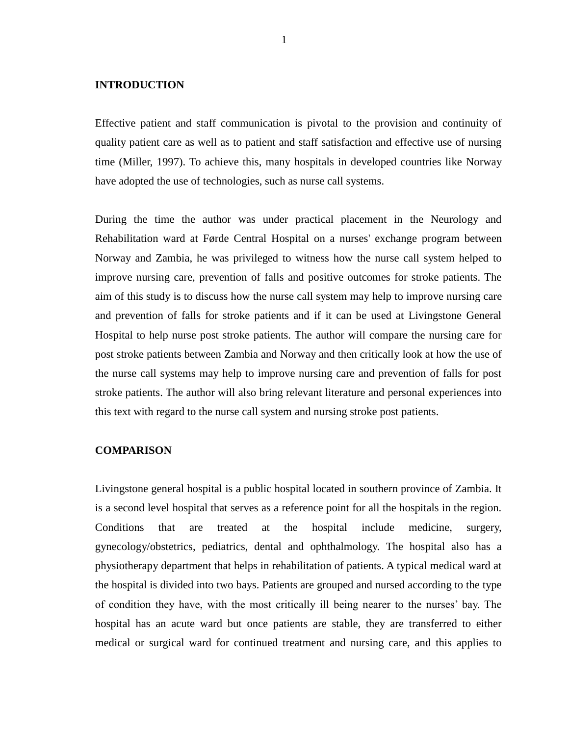#### **INTRODUCTION**

Effective patient and staff communication is pivotal to the provision and continuity of quality patient care as well as to patient and staff satisfaction and effective use of nursing time (Miller, 1997). To achieve this, many hospitals in developed countries like Norway have adopted the use of technologies, such as nurse call systems.

During the time the author was under practical placement in the Neurology and Rehabilitation ward at Førde Central Hospital on a nurses' exchange program between Norway and Zambia, he was privileged to witness how the nurse call system helped to improve nursing care, prevention of falls and positive outcomes for stroke patients. The aim of this study is to discuss how the nurse call system may help to improve nursing care and prevention of falls for stroke patients and if it can be used at Livingstone General Hospital to help nurse post stroke patients. The author will compare the nursing care for post stroke patients between Zambia and Norway and then critically look at how the use of the nurse call systems may help to improve nursing care and prevention of falls for post stroke patients. The author will also bring relevant literature and personal experiences into this text with regard to the nurse call system and nursing stroke post patients.

#### **COMPARISON**

Livingstone general hospital is a public hospital located in southern province of Zambia. It is a second level hospital that serves as a reference point for all the hospitals in the region. Conditions that are treated at the hospital include medicine, surgery, gynecology/obstetrics, pediatrics, dental and ophthalmology. The hospital also has a physiotherapy department that helps in rehabilitation of patients. A typical medical ward at the hospital is divided into two bays. Patients are grouped and nursed according to the type of condition they have, with the most critically ill being nearer to the nurses' bay. The hospital has an acute ward but once patients are stable, they are transferred to either medical or surgical ward for continued treatment and nursing care, and this applies to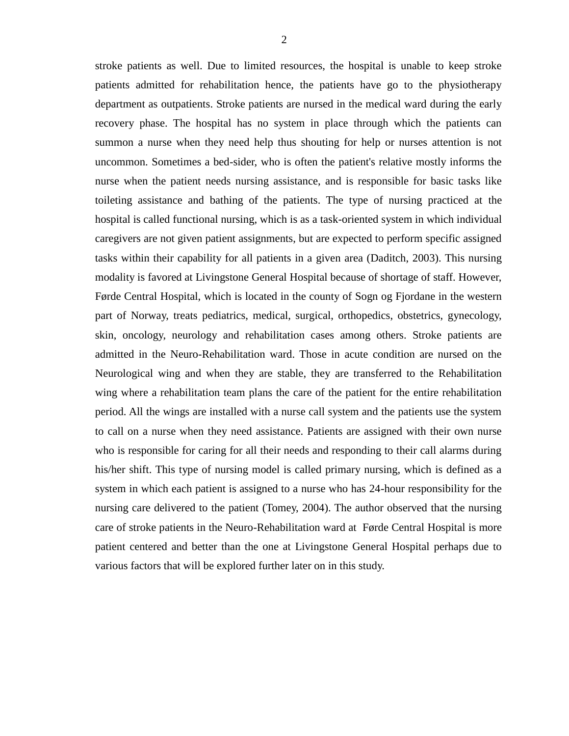stroke patients as well. Due to limited resources, the hospital is unable to keep stroke patients admitted for rehabilitation hence, the patients have go to the physiotherapy department as outpatients. Stroke patients are nursed in the medical ward during the early recovery phase. The hospital has no system in place through which the patients can summon a nurse when they need help thus shouting for help or nurses attention is not uncommon. Sometimes a bed-sider, who is often the patient's relative mostly informs the nurse when the patient needs nursing assistance, and is responsible for basic tasks like toileting assistance and bathing of the patients. The type of nursing practiced at the hospital is called functional nursing, which is as a task-oriented system in which individual caregivers are not given patient assignments, but are expected to perform specific assigned tasks within their capability for all patients in a given area (Daditch, 2003). This nursing modality is favored at Livingstone General Hospital because of shortage of staff. However, Førde Central Hospital, which is located in the county of Sogn og Fjordane in the western part of Norway, treats pediatrics, medical, surgical, orthopedics, obstetrics, gynecology, skin, oncology, neurology and rehabilitation cases among others. Stroke patients are admitted in the Neuro-Rehabilitation ward. Those in acute condition are nursed on the Neurological wing and when they are stable, they are transferred to the Rehabilitation wing where a rehabilitation team plans the care of the patient for the entire rehabilitation period. All the wings are installed with a nurse call system and the patients use the system to call on a nurse when they need assistance. Patients are assigned with their own nurse who is responsible for caring for all their needs and responding to their call alarms during his/her shift. This type of nursing model is called primary nursing, which is defined as a system in which each patient is assigned to a nurse who has 24-hour responsibility for the nursing care delivered to the patient (Tomey, 2004). The author observed that the nursing care of stroke patients in the Neuro-Rehabilitation ward at Førde Central Hospital is more patient centered and better than the one at Livingstone General Hospital perhaps due to various factors that will be explored further later on in this study.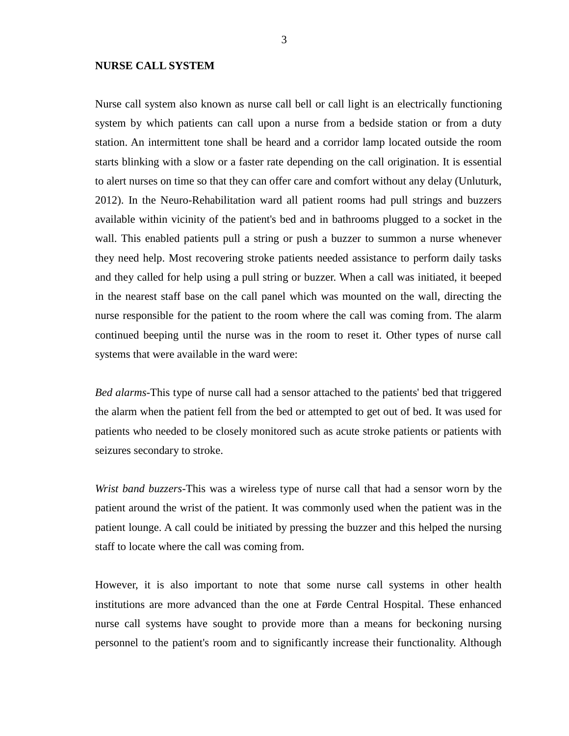#### **NURSE CALL SYSTEM**

Nurse call system also known as nurse call bell or call light is an electrically functioning system by which patients can call upon a nurse from a bedside station or from a duty station. An intermittent tone shall be heard and a corridor lamp located outside the room starts blinking with a slow or a faster rate depending on the call origination. It is essential to alert nurses on time so that they can offer care and comfort without any delay (Unluturk, 2012). In the Neuro-Rehabilitation ward all patient rooms had pull strings and buzzers available within vicinity of the patient's bed and in bathrooms plugged to a socket in the wall. This enabled patients pull a string or push a buzzer to summon a nurse whenever they need help. Most recovering stroke patients needed assistance to perform daily tasks and they called for help using a pull string or buzzer. When a call was initiated, it beeped in the nearest staff base on the call panel which was mounted on the wall, directing the nurse responsible for the patient to the room where the call was coming from. The alarm continued beeping until the nurse was in the room to reset it. Other types of nurse call systems that were available in the ward were:

*Bed alarms*-This type of nurse call had a sensor attached to the patients' bed that triggered the alarm when the patient fell from the bed or attempted to get out of bed. It was used for patients who needed to be closely monitored such as acute stroke patients or patients with seizures secondary to stroke.

*Wrist band buzzers*-This was a wireless type of nurse call that had a sensor worn by the patient around the wrist of the patient. It was commonly used when the patient was in the patient lounge. A call could be initiated by pressing the buzzer and this helped the nursing staff to locate where the call was coming from.

However, it is also important to note that some nurse call systems in other health institutions are more advanced than the one at Førde Central Hospital. These enhanced nurse call systems have sought to provide more than a means for beckoning nursing personnel to the patient's room and to significantly increase their functionality. Although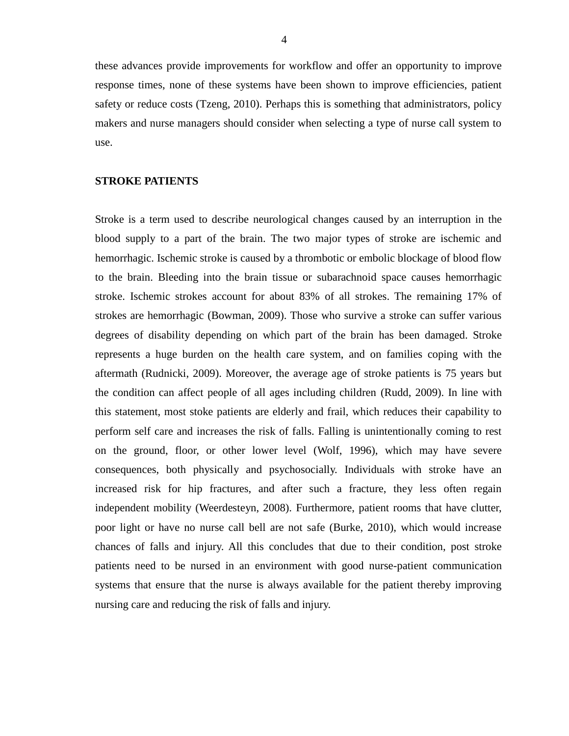these advances provide improvements for workflow and offer an opportunity to improve response times, none of these systems have been shown to improve efficiencies, patient safety or reduce costs (Tzeng, 2010). Perhaps this is something that administrators, policy makers and nurse managers should consider when selecting a type of nurse call system to use.

#### **STROKE PATIENTS**

Stroke is a term used to describe neurological changes caused by an interruption in the blood supply to a part of the brain. The two major types of stroke are ischemic and hemorrhagic. Ischemic stroke is caused by a thrombotic or embolic blockage of blood flow to the brain. Bleeding into the brain tissue or subarachnoid space causes hemorrhagic stroke. Ischemic strokes account for about 83% of all strokes. The remaining 17% of strokes are hemorrhagic (Bowman, 2009). Those who survive a stroke can suffer various degrees of disability depending on which part of the brain has been damaged. Stroke represents a huge burden on the health care system, and on families coping with the aftermath (Rudnicki, 2009). Moreover, the average age of stroke patients is 75 years but the condition can affect people of all ages including children (Rudd, 2009). In line with this statement, most stoke patients are elderly and frail, which reduces their capability to perform self care and increases the risk of falls. Falling is unintentionally coming to rest on the ground, floor, or other lower level (Wolf, 1996), which may have severe consequences, both physically and psychosocially. Individuals with stroke have an increased risk for hip fractures, and after such a fracture, they less often regain independent mobility (Weerdesteyn, 2008). Furthermore, patient rooms that have clutter, poor light or have no nurse call bell are not safe (Burke, 2010), which would increase chances of falls and injury. All this concludes that due to their condition, post stroke patients need to be nursed in an environment with good nurse-patient communication systems that ensure that the nurse is always available for the patient thereby improving nursing care and reducing the risk of falls and injury.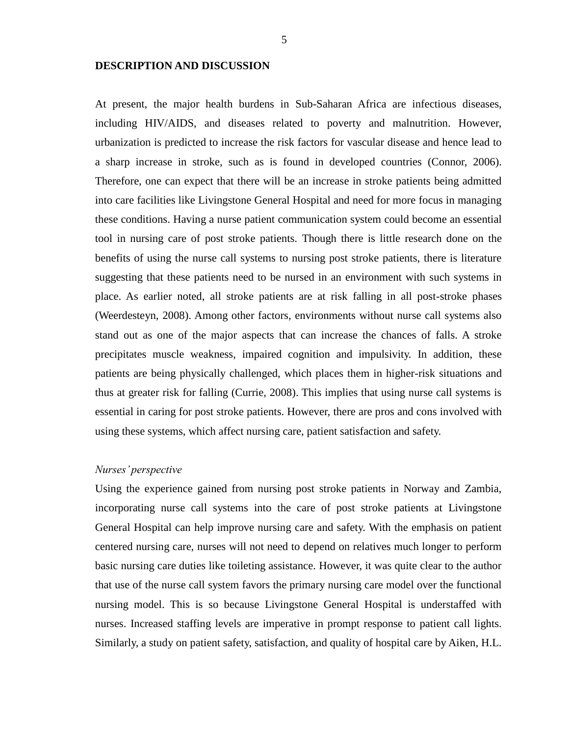#### **DESCRIPTION AND DISCUSSION**

At present, the major health burdens in Sub-Saharan Africa are infectious diseases, including HIV/AIDS, and diseases related to poverty and malnutrition. However, urbanization is predicted to increase the risk factors for vascular disease and hence lead to a sharp increase in stroke, such as is found in developed countries (Connor, 2006). Therefore, one can expect that there will be an increase in stroke patients being admitted into care facilities like Livingstone General Hospital and need for more focus in managing these conditions. Having a nurse patient communication system could become an essential tool in nursing care of post stroke patients. Though there is little research done on the benefits of using the nurse call systems to nursing post stroke patients, there is literature suggesting that these patients need to be nursed in an environment with such systems in place. As earlier noted, all stroke patients are at risk falling in all post-stroke phases (Weerdesteyn, 2008). Among other factors, environments without nurse call systems also stand out as one of the major aspects that can increase the chances of falls. A stroke precipitates muscle weakness, impaired cognition and impulsivity. In addition, these patients are being physically challenged, which places them in higher-risk situations and thus at greater risk for falling (Currie, 2008). This implies that using nurse call systems is essential in caring for post stroke patients. However, there are pros and cons involved with using these systems, which affect nursing care, patient satisfaction and safety.

#### *Nurses' perspective*

Using the experience gained from nursing post stroke patients in Norway and Zambia, incorporating nurse call systems into the care of post stroke patients at Livingstone General Hospital can help improve nursing care and safety. With the emphasis on patient centered nursing care, nurses will not need to depend on relatives much longer to perform basic nursing care duties like toileting assistance. However, it was quite clear to the author that use of the nurse call system favors the primary nursing care model over the functional nursing model. This is so because Livingstone General Hospital is understaffed with nurses. Increased staffing levels are imperative in prompt response to patient call lights. Similarly, a study on patient safety, satisfaction, and quality of hospital care by Aiken, H.L.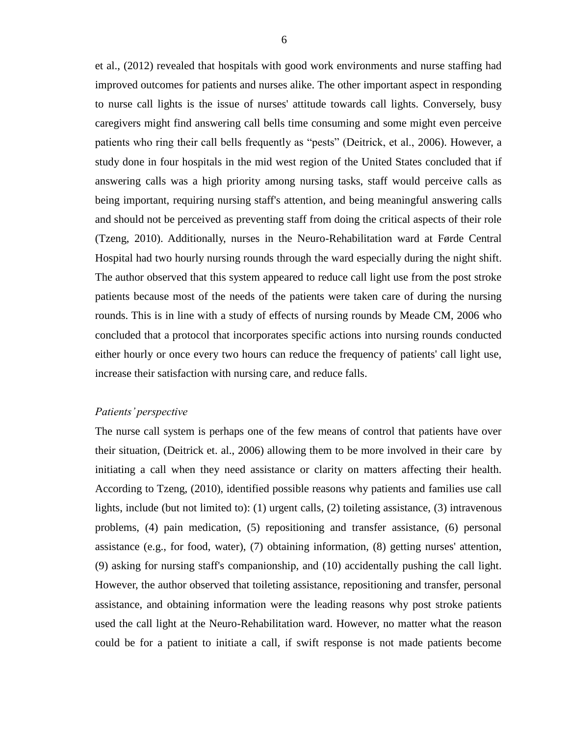et al., (2012) revealed that hospitals with good work environments and nurse staffing had improved outcomes for patients and nurses alike. The other important aspect in responding to nurse call lights is the issue of nurses' attitude towards call lights. Conversely, busy caregivers might find answering call bells time consuming and some might even perceive patients who ring their call bells frequently as "pests" (Deitrick, et al., 2006). However, a study done in four hospitals in the mid west region of the United States concluded that if answering calls was a high priority among nursing tasks, staff would perceive calls as being important, requiring nursing staff's attention, and being meaningful answering calls and should not be perceived as preventing staff from doing the critical aspects of their role (Tzeng, 2010). Additionally, nurses in the Neuro-Rehabilitation ward at Førde Central Hospital had two hourly nursing rounds through the ward especially during the night shift. The author observed that this system appeared to reduce call light use from the post stroke patients because most of the needs of the patients were taken care of during the nursing rounds. This is in line with a study of effects of nursing rounds by Meade CM, 2006 who concluded that a protocol that incorporates specific actions into nursing rounds conducted either hourly or once every two hours can reduce the frequency of patients' call light use, increase their satisfaction with nursing care, and reduce falls.

#### *Patients' perspective*

The nurse call system is perhaps one of the few means of control that patients have over their situation, (Deitrick et. al., 2006) allowing them to be more involved in their care by initiating a call when they need assistance or clarity on matters affecting their health. According to Tzeng, (2010), identified possible reasons why patients and families use call lights, include (but not limited to): (1) urgent calls, (2) toileting assistance, (3) intravenous problems, (4) pain medication, (5) repositioning and transfer assistance, (6) personal assistance (e.g., for food, water), (7) obtaining information, (8) getting nurses' attention, (9) asking for nursing staff's companionship, and (10) accidentally pushing the call light. However, the author observed that toileting assistance, repositioning and transfer, personal assistance, and obtaining information were the leading reasons why post stroke patients used the call light at the Neuro-Rehabilitation ward. However, no matter what the reason could be for a patient to initiate a call, if swift response is not made patients become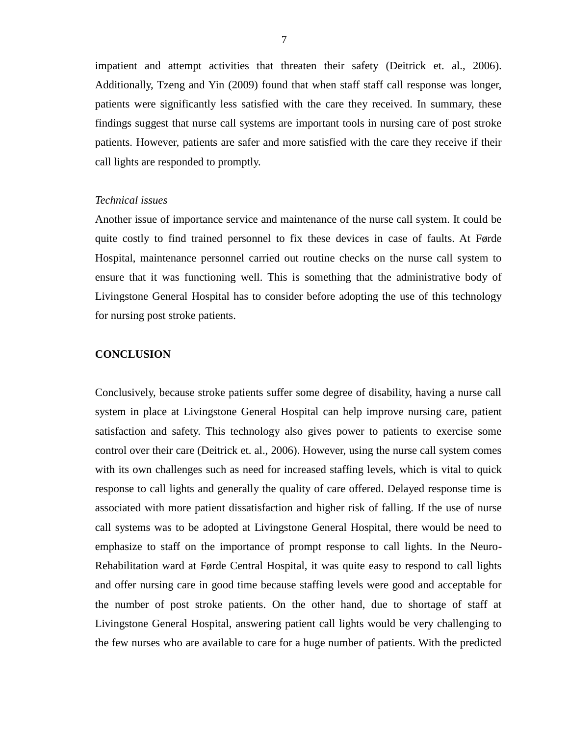impatient and attempt activities that threaten their safety (Deitrick et. al., 2006). Additionally, Tzeng and Yin (2009) found that when staff staff call response was longer, patients were significantly less satisfied with the care they received. In summary, these findings suggest that nurse call systems are important tools in nursing care of post stroke patients. However, patients are safer and more satisfied with the care they receive if their call lights are responded to promptly.

#### *Technical issues*

Another issue of importance service and maintenance of the nurse call system. It could be quite costly to find trained personnel to fix these devices in case of faults. At Førde Hospital, maintenance personnel carried out routine checks on the nurse call system to ensure that it was functioning well. This is something that the administrative body of Livingstone General Hospital has to consider before adopting the use of this technology for nursing post stroke patients.

#### **CONCLUSION**

Conclusively, because stroke patients suffer some degree of disability, having a nurse call system in place at Livingstone General Hospital can help improve nursing care, patient satisfaction and safety. This technology also gives power to patients to exercise some control over their care (Deitrick et. al., 2006). However, using the nurse call system comes with its own challenges such as need for increased staffing levels, which is vital to quick response to call lights and generally the quality of care offered. Delayed response time is associated with more patient dissatisfaction and higher risk of falling. If the use of nurse call systems was to be adopted at Livingstone General Hospital, there would be need to emphasize to staff on the importance of prompt response to call lights. In the Neuro-Rehabilitation ward at Førde Central Hospital, it was quite easy to respond to call lights and offer nursing care in good time because staffing levels were good and acceptable for the number of post stroke patients. On the other hand, due to shortage of staff at Livingstone General Hospital, answering patient call lights would be very challenging to the few nurses who are available to care for a huge number of patients. With the predicted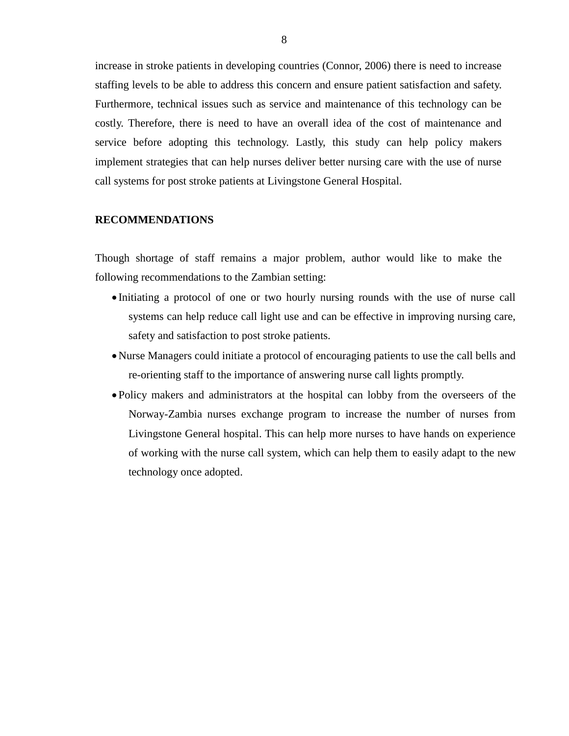increase in stroke patients in developing countries (Connor, 2006) there is need to increase staffing levels to be able to address this concern and ensure patient satisfaction and safety. Furthermore, technical issues such as service and maintenance of this technology can be costly. Therefore, there is need to have an overall idea of the cost of maintenance and service before adopting this technology. Lastly, this study can help policy makers implement strategies that can help nurses deliver better nursing care with the use of nurse call systems for post stroke patients at Livingstone General Hospital.

#### **RECOMMENDATIONS**

Though shortage of staff remains a major problem, author would like to make the following recommendations to the Zambian setting:

- Initiating a protocol of one or two hourly nursing rounds with the use of nurse call systems can help reduce call light use and can be effective in improving nursing care, safety and satisfaction to post stroke patients.
- Nurse Managers could initiate a protocol of encouraging patients to use the call bells and re-orienting staff to the importance of answering nurse call lights promptly.
- Policy makers and administrators at the hospital can lobby from the overseers of the Norway-Zambia nurses exchange program to increase the number of nurses from Livingstone General hospital. This can help more nurses to have hands on experience of working with the nurse call system, which can help them to easily adapt to the new technology once adopted.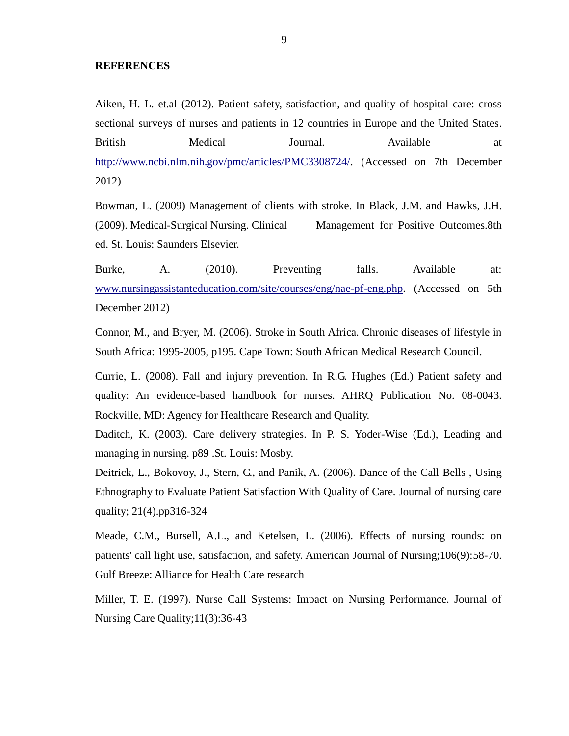#### **REFERENCES**

Aiken, H. L. et.al (2012). Patient safety, satisfaction, and quality of hospital care: cross sectional surveys of nurses and patients in 12 countries in Europe and the United States. British Medical Journal. Available at [http://www.ncbi.nlm.nih.gov/pmc/articles/PMC3308724/.](http://www.ncbi.nlm.nih.gov/pmc/articles/PMC3308724/) (Accessed on 7th December 2012)

Bowman, L. (2009) Management of clients with stroke. In Black, J.M. and Hawks, J.H. (2009). Medical-Surgical Nursing. Clinical Management for Positive Outcomes.8th ed. St. Louis: Saunders Elsevier.

Burke, A. (2010). Preventing falls. Available at: [www.nursingassistanteducation.com/site/courses/eng/nae-pf-eng.php.](http://www.nursingassistanteducation.com/site/courses/eng/nae-pf-eng.php) (Accessed on 5th December 2012)

Connor, M., and Bryer, M. (2006). Stroke in South Africa. Chronic diseases of lifestyle in South Africa: 1995-2005, p195. Cape Town: South African Medical Research Council.

Currie, L. (2008). Fall and injury prevention. In R.G. Hughes (Ed.) Patient safety and quality: An evidence-based handbook for nurses. AHRQ Publication No. 08-0043. Rockville, MD: Agency for Healthcare Research and Quality.

Daditch, K. (2003). Care delivery strategies. In P. S. Yoder-Wise (Ed.), Leading and managing in nursing. p89 .St. Louis: Mosby.

Deitrick, L., Bokovoy, J., Stern, G., and Panik, A. (2006). Dance of the Call Bells , Using Ethnography to Evaluate Patient Satisfaction With Quality of Care. Journal of nursing care quality; 21(4).pp316-324

Meade, C.M., Bursell, A.L., and Ketelsen, L. (2006). Effects of nursing rounds: on patients' call light use, satisfaction, and safety. American Journal of Nursing;106(9):58-70. Gulf Breeze: Alliance for Health Care research

Miller, T. E. (1997). Nurse Call Systems: Impact on Nursing Performance. Journal of Nursing Care Quality;11(3):36-43